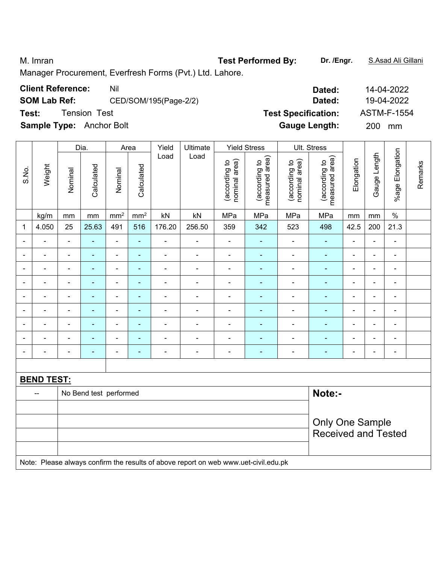M. Imran **Test Performed By: Dr. /Engr.** S.Asad Ali Gillani Manager Procurement, Everfresh Forms (Pvt.) Ltd. Lahore. **Client Reference:** Nil Nil 2022 **SOM Lab Ref:** CED/SOM/195(Page-2/2) **Dated:** 19-04-2022 **Test:** Tension Test **Test Specification:** ASTM-F-1554 **Sample Type:** Anchor Bolt **Gauge Length:** 200 mm

|                          |                                                                                     |                              | Dia.<br>Yield<br>Ultimate<br><b>Yield Stress</b><br>Area |                              |                          |                |                          |                                |                                 |                                | Ult. Stress                     |                |                |                 |         |
|--------------------------|-------------------------------------------------------------------------------------|------------------------------|----------------------------------------------------------|------------------------------|--------------------------|----------------|--------------------------|--------------------------------|---------------------------------|--------------------------------|---------------------------------|----------------|----------------|-----------------|---------|
| S.No.                    | Weight                                                                              | Nominal                      | Calculated                                               | Nominal                      | Calculated               | Load           | Load                     | nominal area)<br>(according to | measured area)<br>(according to | nominal area)<br>(according to | measured area)<br>(according to | Elongation     | Gauge Length   | %age Elongation | Remarks |
|                          | kg/m                                                                                | mm                           | $\mathsf{mm}$                                            | mm <sup>2</sup>              | mm <sup>2</sup>          | kN             | kN                       | MPa                            | MPa                             | MPa                            | MPa                             | mm             | $\,mm$         | $\%$            |         |
| 1                        | 4.050                                                                               | 25                           | 25.63                                                    | 491                          | 516                      | 176.20         | 256.50                   | 359                            | 342                             | 523                            | 498                             | 42.5           | 200            | 21.3            |         |
| $\blacksquare$           | $\blacksquare$                                                                      | $\blacksquare$               | $\blacksquare$                                           | $\qquad \qquad \blacksquare$ | ÷                        | $\frac{1}{2}$  | $\blacksquare$           | $\blacksquare$                 | $\blacksquare$                  | $\blacksquare$                 | $\frac{1}{2}$                   | $\blacksquare$ | $\blacksquare$ | $\blacksquare$  |         |
| $\overline{\phantom{0}}$ | $\blacksquare$                                                                      | $\blacksquare$               | $\blacksquare$                                           | $\qquad \qquad \blacksquare$ | $\blacksquare$           | $\blacksquare$ | $\overline{\phantom{a}}$ | $\blacksquare$                 | $\blacksquare$                  | $\qquad \qquad \blacksquare$   | $\frac{1}{2}$                   | $\blacksquare$ | $\blacksquare$ | $\blacksquare$  |         |
| $\blacksquare$           | $\blacksquare$                                                                      | $\blacksquare$               | $\blacksquare$                                           | $\blacksquare$               | $\blacksquare$           | $\blacksquare$ | $\blacksquare$           | $\blacksquare$                 | $\blacksquare$                  | $\blacksquare$                 | $\blacksquare$                  | $\blacksquare$ | ä,             | $\blacksquare$  |         |
| $\blacksquare$           | $\blacksquare$                                                                      | $\blacksquare$               | $\blacksquare$                                           | ÷,                           | $\blacksquare$           | $\blacksquare$ | $\blacksquare$           | $\blacksquare$                 | ÷                               | $\blacksquare$                 | ÷,                              | $\blacksquare$ | ä,             | $\blacksquare$  |         |
|                          |                                                                                     | Ē,                           | $\overline{\phantom{0}}$                                 | ä,                           | ä,                       | $\blacksquare$ | ä,                       | $\blacksquare$                 | $\blacksquare$                  | $\blacksquare$                 | $\blacksquare$                  | $\blacksquare$ |                | L,              |         |
|                          |                                                                                     | $\qquad \qquad \blacksquare$ |                                                          | ÷                            | $\overline{\phantom{0}}$ |                |                          | $\overline{a}$                 | $\overline{\phantom{0}}$        |                                | ä,                              | $\overline{a}$ |                | -               |         |
| $\blacksquare$           |                                                                                     | $\blacksquare$               | $\blacksquare$                                           | ÷                            | $\blacksquare$           | $\blacksquare$ |                          | $\blacksquare$                 | $\blacksquare$                  | $\blacksquare$                 | $\blacksquare$                  | $\blacksquare$ |                | $\blacksquare$  |         |
| $\overline{\phantom{0}}$ |                                                                                     | $\blacksquare$               | $\blacksquare$                                           | ÷                            | $\overline{\phantom{0}}$ | ÷,             | $\blacksquare$           | $\blacksquare$                 | ۰                               |                                | ۰                               | $\blacksquare$ | $\blacksquare$ |                 |         |
| $\overline{\phantom{0}}$ |                                                                                     | $\blacksquare$               | ÷,                                                       | ۰                            | ٠                        | $\blacksquare$ | $\blacksquare$           | $\blacksquare$                 | $\blacksquare$                  | $\blacksquare$                 | ٠                               | $\blacksquare$ | $\blacksquare$ | $\blacksquare$  |         |
|                          |                                                                                     |                              |                                                          |                              |                          |                |                          |                                |                                 |                                |                                 |                |                |                 |         |
|                          | <b>BEND TEST:</b>                                                                   |                              |                                                          |                              |                          |                |                          |                                |                                 |                                |                                 |                |                |                 |         |
|                          | $-$                                                                                 |                              | No Bend test performed                                   |                              |                          |                |                          |                                |                                 |                                | Note:-                          |                |                |                 |         |
|                          |                                                                                     |                              |                                                          |                              |                          |                |                          |                                |                                 |                                |                                 |                |                |                 |         |
|                          |                                                                                     |                              |                                                          |                              |                          |                |                          |                                |                                 |                                | <b>Only One Sample</b>          |                |                |                 |         |
|                          |                                                                                     |                              |                                                          |                              |                          |                |                          |                                |                                 |                                | <b>Received and Tested</b>      |                |                |                 |         |
|                          |                                                                                     |                              |                                                          |                              |                          |                |                          |                                |                                 |                                |                                 |                |                |                 |         |
|                          | Note: Please always confirm the results of above report on web www.uet-civil.edu.pk |                              |                                                          |                              |                          |                |                          |                                |                                 |                                |                                 |                |                |                 |         |
|                          |                                                                                     |                              |                                                          |                              |                          |                |                          |                                |                                 |                                |                                 |                |                |                 |         |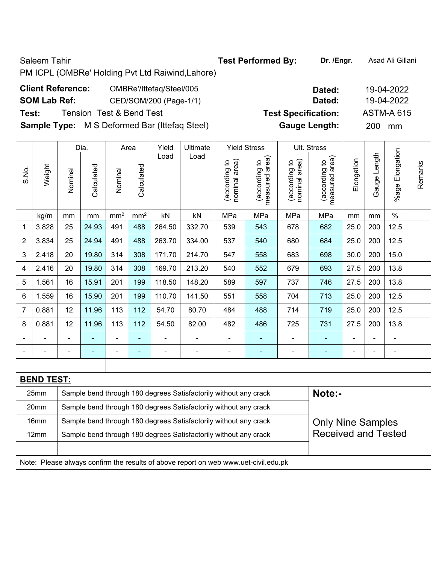PM ICPL (OMBRe' Holding Pvt Ltd Raiwind,Lahore)

|                     | <b>Client Reference:</b> | OMBRe'/Ittefaq/Steel/005            |  |  |  |  |  |  |  |  |
|---------------------|--------------------------|-------------------------------------|--|--|--|--|--|--|--|--|
| <b>SOM Lab Ref:</b> |                          | CED/SOM/200 (Page-1/1)              |  |  |  |  |  |  |  |  |
| Test:               |                          | <b>Tension Test &amp; Bend Test</b> |  |  |  |  |  |  |  |  |
|                     |                          | $\blacksquare$                      |  |  |  |  |  |  |  |  |

**Sample Type:** M S Deformed Bar (Ittefaq Steel) **Gauge Length:** 200 mm

|                          |                   |                | Dia.                                                                       | Area            |                 | Yield          | Ultimate                                                                            |                                | <b>Yield Stress</b>             |                                | Ult. Stress                     |            |              |                        |         |  |
|--------------------------|-------------------|----------------|----------------------------------------------------------------------------|-----------------|-----------------|----------------|-------------------------------------------------------------------------------------|--------------------------------|---------------------------------|--------------------------------|---------------------------------|------------|--------------|------------------------|---------|--|
| S.No.                    | Weight            | Nominal        | Calculated                                                                 | Nominal         | Calculated      | Load           | Load                                                                                | nominal area)<br>(according to | (according to<br>measured area) | (according to<br>nominal area) | measured area)<br>(according to | Elongation | Gauge Length | Elongation<br>$%$ agel | Remarks |  |
|                          | kg/m              | mm             | mm                                                                         | mm <sup>2</sup> | mm <sup>2</sup> | kN             | kN                                                                                  | MPa                            | MPa                             | MPa                            | MPa                             | mm         | mm           | $\%$                   |         |  |
| $\mathbf{1}$             | 3.828             | 25             | 24.93                                                                      | 491             | 488             | 264.50         | 332.70                                                                              | 539                            | 543                             | 678                            | 682                             | 25.0       | 200          | 12.5                   |         |  |
| $\overline{2}$           | 3.834             | 25             | 24.94                                                                      | 491             | 488             | 263.70         | 334.00                                                                              | 537                            | 540                             | 680                            | 684                             | 25.0       | 200          | 12.5                   |         |  |
| 3                        | 2.418             | 20             | 19.80                                                                      | 314             | 308             | 171.70         | 214.70                                                                              | 547                            | 558                             | 683                            | 698                             | 30.0       | 200          | 15.0                   |         |  |
| 4                        | 2.416             | 20             | 19.80                                                                      | 314             | 308             | 169.70         | 213.20                                                                              | 540                            | 552                             | 679                            | 693                             | 27.5       | 200          | 13.8                   |         |  |
| 5                        | 1.561             | 16             | 15.91                                                                      | 201             | 199             | 118.50         | 148.20                                                                              | 589                            | 597                             | 737                            | 746                             | 27.5       | 200          | 13.8                   |         |  |
| 6                        | 1.559             | 16             | 15.90                                                                      | 201             | 199             | 110.70         | 141.50                                                                              | 551                            | 558                             | 704                            | 713                             | 25.0       | 200          | 12.5                   |         |  |
| $\overline{7}$           | 0.881             | 12             | 11.96                                                                      | 113             | 112             | 54.70          | 80.70                                                                               | 484                            | 488                             | 714                            | 719                             | 25.0       | 200          | 12.5                   |         |  |
| 8                        | 0.881             | 12             | 11.96                                                                      | 113             | 112             | 54.50          | 82.00                                                                               | 482                            | 486                             | 725                            | 731                             | 27.5       | 200          | 13.8                   |         |  |
|                          |                   | $\blacksquare$ |                                                                            | ÷               |                 |                | ÷                                                                                   | $\blacksquare$                 | ۰                               | ۰                              | ٠                               |            |              | $\blacksquare$         |         |  |
| $\overline{\phantom{a}}$ | ÷                 | -              | ۰                                                                          | ۰               | ٠               | $\overline{a}$ | $\overline{\phantom{0}}$                                                            | $\overline{\phantom{a}}$       | $\qquad \qquad \blacksquare$    | ٠                              | $\blacksquare$                  | ÷          |              | $\blacksquare$         |         |  |
|                          |                   |                |                                                                            |                 |                 |                |                                                                                     |                                |                                 |                                |                                 |            |              |                        |         |  |
|                          | <b>BEND TEST:</b> |                |                                                                            |                 |                 |                |                                                                                     |                                |                                 |                                |                                 |            |              |                        |         |  |
|                          | 25mm              |                | Note:-<br>Sample bend through 180 degrees Satisfactorily without any crack |                 |                 |                |                                                                                     |                                |                                 |                                |                                 |            |              |                        |         |  |
|                          | 20mm              |                |                                                                            |                 |                 |                | Sample bend through 180 degrees Satisfactorily without any crack                    |                                |                                 |                                |                                 |            |              |                        |         |  |
|                          | 16mm              |                |                                                                            |                 |                 |                | Sample bend through 180 degrees Satisfactorily without any crack                    |                                |                                 |                                | <b>Only Nine Samples</b>        |            |              |                        |         |  |
|                          | 12mm              |                |                                                                            |                 |                 |                | Sample bend through 180 degrees Satisfactorily without any crack                    |                                |                                 |                                | <b>Received and Tested</b>      |            |              |                        |         |  |
|                          |                   |                |                                                                            |                 |                 |                |                                                                                     |                                |                                 |                                |                                 |            |              |                        |         |  |
|                          |                   |                |                                                                            |                 |                 |                | Note: Please always confirm the results of above report on web www.uet-civil.edu.pk |                                |                                 |                                |                                 |            |              |                        |         |  |

**Dated: 19-04-2022 SOM Lab Ref:** CED/SOM/200 (Page-1/1) **Dated:** 19-04-2022 Test Specification: <br>ASTM-A 615

Saleem Tahir **Test Performed By:** Dr. /Engr. **Asad Ali Gillani**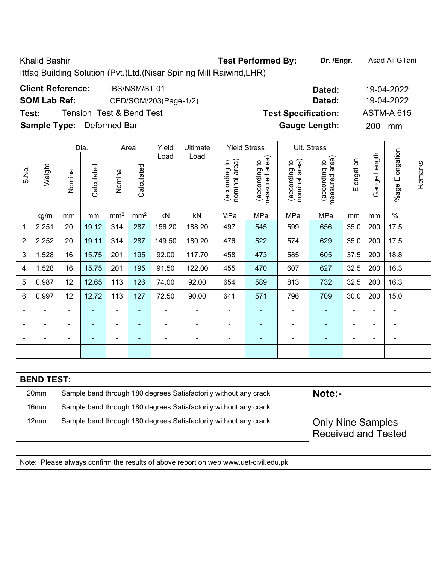Khalid Bashir **Test Performed By:** Dr. /Engr. **Asad Ali Gillani** Chalid Book Ali Gillani Ittfaq Building Solution (Pvt.)Ltd.(Nisar Spining Mill Raiwind,LHR)

| <b>Client Reference:</b>         | <b>IBS/NSM/ST 01</b>                | Dated:                     | 19-04-2022        |
|----------------------------------|-------------------------------------|----------------------------|-------------------|
| <b>SOM Lab Ref:</b>              | CED/SOM/203(Page-1/2)               | Dated:                     | 19-04-2022        |
| Test:                            | <b>Tension Test &amp; Bend Test</b> | <b>Test Specification:</b> | <b>ASTM-A 615</b> |
| <b>Sample Type:</b> Deformed Bar |                                     | <b>Gauge Length:</b>       | <b>200</b><br>mm  |

|                |                   |                                                                                     | Dia.           | Ultimate<br><b>Yield Stress</b><br>Ult. Stress<br>Area<br>Yield |                 |                |                                                                  |                                |                                 |                                |                                 |                            |               |                          |         |
|----------------|-------------------|-------------------------------------------------------------------------------------|----------------|-----------------------------------------------------------------|-----------------|----------------|------------------------------------------------------------------|--------------------------------|---------------------------------|--------------------------------|---------------------------------|----------------------------|---------------|--------------------------|---------|
| S.No.          | Weight            | Nominal                                                                             | Calculated     | Nominal                                                         | Calculated      | Load           | Load                                                             | nominal area)<br>(according to | (according to<br>measured area) | nominal area)<br>(according to | measured area)<br>(according to | Elongation                 | Gauge Length  | Elongation<br>$%$ age    | Remarks |
|                | kg/m              | mm                                                                                  | $\,mm$         | mm <sup>2</sup>                                                 | mm <sup>2</sup> | kN             | kN                                                               | MPa                            | MPa                             | MPa                            | MPa                             | mm                         | $\mathsf{mm}$ | $\%$                     |         |
| 1              | 2.251             | 20                                                                                  | 19.12          | 314                                                             | 287             | 156.20         | 188.20                                                           | 497                            | 545                             | 599                            | 656                             | 35.0                       | 200           | 17.5                     |         |
| $\overline{2}$ | 2.252             | 20                                                                                  | 19.11          | 314                                                             | 287             | 149.50         | 180.20                                                           | 476                            | 522                             | 574                            | 629                             | 35.0                       | 200           | 17.5                     |         |
| 3              | 1.528             | 16                                                                                  | 15.75          | 201                                                             | 195             | 92.00          | 117.70                                                           | 458                            | 473                             | 585                            | 605                             | 37.5                       | 200           | 18.8                     |         |
| 4              | 1.528             | 16                                                                                  | 15.75          | 201                                                             | 195             | 91.50          | 122.00                                                           | 455                            | 470                             | 607                            | 627                             | 32.5                       | 200           | 16.3                     |         |
| 5              | 0.987             | 12                                                                                  | 12.65          | 113                                                             | 126             | 74.00          | 92.00                                                            | 654                            | 589                             | 813                            | 732                             | 32.5                       | 200           | 16.3                     |         |
| 6              | 0.997             | 12                                                                                  | 12.72          | 113                                                             | 127             | 72.50          | 90.00                                                            | 641                            | 571                             | 796                            | 709                             | 30.0                       | 200           | 15.0                     |         |
| $\blacksquare$ |                   |                                                                                     |                | ä,                                                              | ä,              |                |                                                                  | $\blacksquare$                 | $\blacksquare$                  | $\blacksquare$                 | ÷                               |                            |               | L,                       |         |
|                | $\blacksquare$    |                                                                                     | $\blacksquare$ | $\blacksquare$                                                  | ٠               | ÷              | ÷                                                                | ÷,                             | $\blacksquare$                  | $\blacksquare$                 | ۰                               | $\blacksquare$             | ä,            | $\overline{\phantom{a}}$ |         |
|                | ä,                |                                                                                     | $\blacksquare$ | $\blacksquare$                                                  | $\blacksquare$  | $\blacksquare$ | $\blacksquare$                                                   | $\blacksquare$                 | $\blacksquare$                  | $\blacksquare$                 | $\blacksquare$                  | $\blacksquare$             |               | L,                       |         |
|                |                   |                                                                                     |                | ä,                                                              | $\blacksquare$  | ÷              | ÷                                                                | $\blacksquare$                 | $\blacksquare$                  | $\blacksquare$                 | $\blacksquare$                  |                            |               | $\overline{\phantom{a}}$ |         |
|                |                   |                                                                                     |                |                                                                 |                 |                |                                                                  |                                |                                 |                                |                                 |                            |               |                          |         |
|                | <b>BEND TEST:</b> |                                                                                     |                |                                                                 |                 |                |                                                                  |                                |                                 |                                |                                 |                            |               |                          |         |
|                | 20mm              | Note:-<br>Sample bend through 180 degrees Satisfactorily without any crack          |                |                                                                 |                 |                |                                                                  |                                |                                 |                                |                                 |                            |               |                          |         |
|                | 16mm              |                                                                                     |                |                                                                 |                 |                | Sample bend through 180 degrees Satisfactorily without any crack |                                |                                 |                                |                                 |                            |               |                          |         |
|                | 12mm              |                                                                                     |                |                                                                 |                 |                | Sample bend through 180 degrees Satisfactorily without any crack |                                |                                 |                                | <b>Only Nine Samples</b>        |                            |               |                          |         |
|                |                   |                                                                                     |                |                                                                 |                 |                |                                                                  |                                |                                 |                                |                                 | <b>Received and Tested</b> |               |                          |         |
|                |                   |                                                                                     |                |                                                                 |                 |                |                                                                  |                                |                                 |                                |                                 |                            |               |                          |         |
|                |                   | Note: Please always confirm the results of above report on web www.uet-civil.edu.pk |                |                                                                 |                 |                |                                                                  |                                |                                 |                                |                                 |                            |               |                          |         |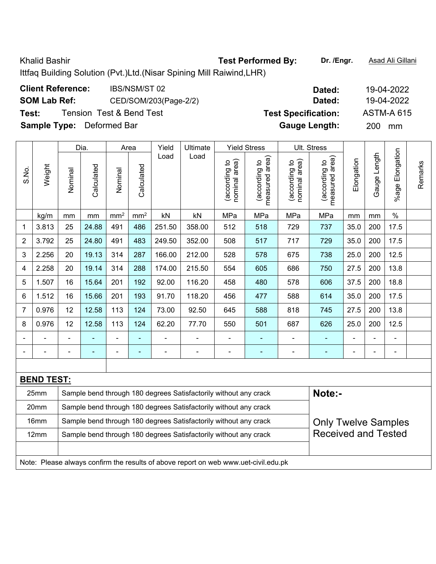Khalid Bashir **Test Performed By:** Dr. /Engr. **Asad Ali Gillani** Collani Ittfaq Building Solution (Pvt.)Ltd.(Nisar Spining Mill Raiwind,LHR) **Client Reference:** IBS/NSM/ST 02 **Dated:** 19-04-2022 **SOM Lab Ref:** CED/SOM/203(Page-2/2) **Dated:** 19-04-2022

| Test:                                                                                                       |                                  |                                                           | <b>Tension Test &amp; Bend Test</b>                          |         |            |                |                | <b>Test Specification:</b>     |                                 |                                |                                    | <b>ASTM-A 615</b> |                   |                          |         |
|-------------------------------------------------------------------------------------------------------------|----------------------------------|-----------------------------------------------------------|--------------------------------------------------------------|---------|------------|----------------|----------------|--------------------------------|---------------------------------|--------------------------------|------------------------------------|-------------------|-------------------|--------------------------|---------|
|                                                                                                             | <b>Sample Type:</b> Deformed Bar |                                                           |                                                              |         |            |                |                |                                |                                 |                                | <b>Gauge Length:</b>               |                   | 200               | mm                       |         |
|                                                                                                             |                                  |                                                           | Dia.                                                         | Area    |            | Yield          | Ultimate       |                                | <b>Yield Stress</b>             |                                | Ult. Stress                        |                   |                   |                          |         |
| S.No.                                                                                                       | Weight                           | Nominal                                                   | Calculated                                                   | Nominal | Calculated | Load           | Load           | nominal area)<br>(according to | measured area)<br>(according to | nominal area)<br>(according to | area)<br>(according to<br>measured | Elongation        | Length<br>Gauge I | Elongation<br>$%$ age    | Remarks |
| mm <sup>2</sup><br>mm <sup>2</sup><br>$\mathsf{k}\mathsf{N}$<br>MPa<br>MPa<br>MPa<br>kN<br>kg/m<br>mm<br>mm |                                  |                                                           |                                                              |         |            |                |                |                                |                                 |                                | MPa                                | mm                | mm                | $\%$                     |         |
| $\mathbf 1$                                                                                                 | 3.813                            | 25                                                        | 24.88<br>491<br>486<br>358.00<br>512<br>729<br>251.50<br>518 |         |            |                |                |                                |                                 |                                |                                    | 35.0              | 200               | 17.5                     |         |
| $\overline{2}$                                                                                              | 3.792                            | 25                                                        | 24.80                                                        | 491     | 483        | 249.50         | 352.00         | 508                            | 517                             | 717                            | 729                                | 35.0              | 200               | 17.5                     |         |
| 3                                                                                                           | 2.256                            | 20                                                        | 19.13                                                        | 314     | 287        | 166.00         | 212.00         | 528                            | 578                             | 675                            | 738                                | 25.0              | 200               | 12.5                     |         |
| 4                                                                                                           | 2.258                            | 20                                                        | 19.14                                                        | 314     | 288        | 174.00         | 215.50         | 554                            | 605                             | 686                            | 750                                | 27.5              | 200               | 13.8                     |         |
| 5                                                                                                           | 1.507                            | 16                                                        | 15.64                                                        | 201     | 192        | 92.00          | 116.20         | 458                            | 480                             | 578                            | 606                                | 37.5              | 200               | 18.8                     |         |
| 6                                                                                                           | 1.512                            | 16                                                        | 15.66                                                        | 201     | 193        | 91.70          | 118.20         | 456                            | 477                             | 588                            | 614                                | 35.0              | 200               | 17.5                     |         |
| 7                                                                                                           | 0.976                            | 12                                                        | 12.58                                                        | 113     | 124        | 73.00          | 92.50          | 645                            | 588                             | 818                            | 745                                | 27.5              | 200               | 13.8                     |         |
| 8                                                                                                           | 0.976                            | 12<br>12.58<br>113<br>124<br>62.20<br>77.70<br>501<br>550 |                                                              |         |            |                |                |                                |                                 | 687                            | 626                                | 25.0              | 200               | 12.5                     |         |
| $\blacksquare$                                                                                              |                                  | $\blacksquare$                                            |                                                              | ۰       | ۰          | $\blacksquare$ | $\blacksquare$ | $\qquad \qquad \blacksquare$   | ÷                               |                                |                                    | $\blacksquare$    | $\blacksquare$    | $\overline{\phantom{0}}$ |         |
|                                                                                                             |                                  |                                                           |                                                              | ۰       | ۰          | $\blacksquare$ | $\blacksquare$ | $\blacksquare$                 |                                 |                                |                                    | $\blacksquare$    | $\blacksquare$    | $\blacksquare$           |         |
|                                                                                                             |                                  |                                                           |                                                              |         |            |                |                |                                |                                 |                                |                                    |                   |                   |                          |         |
|                                                                                                             | <b>BEND TEST:</b>                |                                                           |                                                              |         |            |                |                |                                |                                 |                                |                                    |                   |                   |                          |         |

| 25 <sub>mm</sub> | Sample bend through 180 degrees Satisfactorily without any crack                    | Note:-                     |  |  |  |  |  |  |  |  |
|------------------|-------------------------------------------------------------------------------------|----------------------------|--|--|--|--|--|--|--|--|
| 20 <sub>mm</sub> | Sample bend through 180 degrees Satisfactorily without any crack                    |                            |  |  |  |  |  |  |  |  |
| 16mm             | Sample bend through 180 degrees Satisfactorily without any crack                    | <b>Only Twelve Samples</b> |  |  |  |  |  |  |  |  |
| 12 <sub>mm</sub> | Sample bend through 180 degrees Satisfactorily without any crack                    | <b>Received and Tested</b> |  |  |  |  |  |  |  |  |
|                  |                                                                                     |                            |  |  |  |  |  |  |  |  |
|                  | Note: Please always confirm the results of above report on web www.uet-civil.edu.pk |                            |  |  |  |  |  |  |  |  |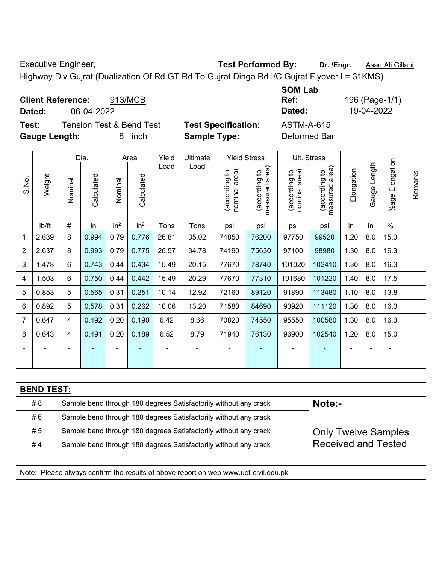Executive Engineer, **Test Performed By:** Dr. /Engr. **Asad Ali Gillani Executive Engineer**,

Highway Div Gujrat.(Dualization Of Rd GT Rd To Gujrat Dinga Rd I/C Gujrat Flyover L= 31KMS)

| <b>Client Reference:</b> | 913/MCB                             |                            | <b>SOM Lab</b><br>Ref: | 196 (Page-1/1) |
|--------------------------|-------------------------------------|----------------------------|------------------------|----------------|
| Dated:                   | 06-04-2022                          |                            | Dated:                 | 19-04-2022     |
| Test:                    | <b>Tension Test &amp; Bend Test</b> | <b>Test Specification:</b> | <b>ASTM-A-615</b>      |                |
| <b>Gauge Length:</b>     | inch<br>8                           | <b>Sample Type:</b>        | Deformed Bar           |                |

|                |                   | Dia.<br><b>Yield Stress</b><br>Yield<br>Ultimate<br>Ult. Stress<br>Area                        |                |                          |                          |                |                                                                                     |                                |                                 |                               |                                 |                |              |                       |         |
|----------------|-------------------|------------------------------------------------------------------------------------------------|----------------|--------------------------|--------------------------|----------------|-------------------------------------------------------------------------------------|--------------------------------|---------------------------------|-------------------------------|---------------------------------|----------------|--------------|-----------------------|---------|
| S.No.          | Weight            | Nominal                                                                                        | Calculated     | Nominal                  | Calculated               | Load           | Load                                                                                | nominal area)<br>(according to | (according to<br>measured area) | nominal area)<br>according to | (according to<br>measured area) | Elongation     | Gauge Length | Elongation<br>$%$ age | Remarks |
|                | lb/ft             | #                                                                                              | in             | in <sup>2</sup>          | in <sup>2</sup>          | Tons           | Tons                                                                                | psi                            | psi                             | psi                           | psi                             | in             | in           | $\frac{0}{0}$         |         |
| 1              | 2.639             | 8                                                                                              | 0.994          | 0.79                     | 0.776                    | 26.81          | 35.02                                                                               | 74850                          | 76200                           | 97750                         | 99520                           | 1.20           | 8.0          | 15.0                  |         |
| 2              | 2.637             | 8                                                                                              | 0.993          | 0.79                     | 0.775                    | 26.57          | 34.78                                                                               | 74190                          | 75630                           | 97100                         | 98980                           | 1.30           | 8.0          | 16.3                  |         |
| 3              | 1.478             | $6\phantom{1}$                                                                                 | 0.743          | 0.44                     | 0.434                    | 15.49          | 20.15                                                                               | 77670                          | 78740                           | 101020                        | 102410                          | 1.30           | 8.0          | 16.3                  |         |
| 4              | 1.503             | $\,6\,$                                                                                        | 0.750          | 0.44                     | 0.442                    | 15.49          | 20.29                                                                               | 77670                          | 77310                           | 101680                        | 101220                          | 1.40           | 8.0          | 17.5                  |         |
| 5              | 0.853             | 5                                                                                              | 0.565          | 0.31                     | 0.251                    | 10.14          | 12.92                                                                               | 72160                          | 89120                           | 91890                         | 113480                          | 1.10           | 8.0          | 13.8                  |         |
| 6              | 0.892             | 5                                                                                              | 0.578          | 0.31                     | 0.262                    | 10.06          | 13.20                                                                               | 71580                          | 84690                           | 93920                         | 111120                          | 1.30           | 8.0          | 16.3                  |         |
| $\overline{7}$ | 0.647             | $\overline{4}$                                                                                 | 0.492          | 0.20                     | 0.190                    | 6.42           | 8.66                                                                                | 70820                          | 74550                           | 95550                         | 100580                          | 1.30           | 8.0          | 16.3                  |         |
| 8              | 0.643             | $\overline{4}$                                                                                 | 0.491          | 0.20                     | 0.189                    | 6.52           | 8.79                                                                                | 71940                          | 76130                           | 96900                         | 102540                          | 1.20           | 8.0          | 15.0                  |         |
|                |                   |                                                                                                |                | $\overline{\phantom{0}}$ |                          | $\blacksquare$ | ä,                                                                                  | $\blacksquare$                 |                                 | ä,                            | ä,                              | ä,             |              | ä,                    |         |
|                | $\blacksquare$    |                                                                                                | $\blacksquare$ | $\overline{\phantom{0}}$ | $\overline{\phantom{0}}$ | $\blacksquare$ | ÷                                                                                   | $\overline{a}$                 | $\blacksquare$                  | ÷                             | $\blacksquare$                  | $\blacksquare$ |              | $\blacksquare$        |         |
|                |                   |                                                                                                |                |                          |                          |                |                                                                                     |                                |                                 |                               |                                 |                |              |                       |         |
|                | <b>BEND TEST:</b> |                                                                                                |                |                          |                          |                |                                                                                     |                                |                                 |                               |                                 |                |              |                       |         |
|                | # 8               |                                                                                                |                |                          |                          |                | Sample bend through 180 degrees Satisfactorily without any crack                    |                                |                                 |                               | Note:-                          |                |              |                       |         |
|                | #6                | Sample bend through 180 degrees Satisfactorily without any crack                               |                |                          |                          |                |                                                                                     |                                |                                 |                               |                                 |                |              |                       |         |
|                | # 5               | Sample bend through 180 degrees Satisfactorily without any crack<br><b>Only Twelve Samples</b> |                |                          |                          |                |                                                                                     |                                |                                 |                               |                                 |                |              |                       |         |
|                | #4                |                                                                                                |                |                          |                          |                | Sample bend through 180 degrees Satisfactorily without any crack                    |                                |                                 |                               | <b>Received and Tested</b>      |                |              |                       |         |
|                |                   |                                                                                                |                |                          |                          |                |                                                                                     |                                |                                 |                               |                                 |                |              |                       |         |
|                |                   |                                                                                                |                |                          |                          |                | Note: Please always confirm the results of above report on web www.uet-civil.edu.pk |                                |                                 |                               |                                 |                |              |                       |         |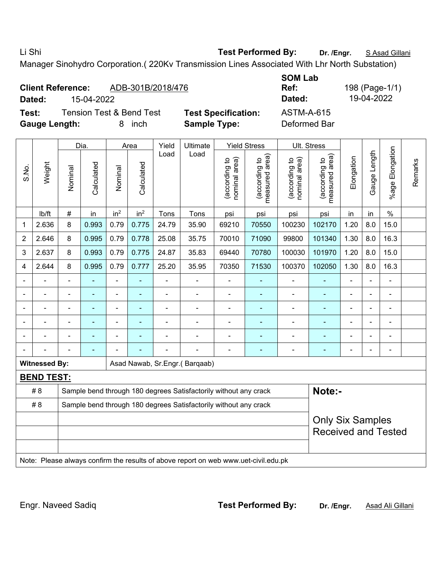## Li Shi **Test Performed By: Dr. /Engr.** S Asad Gillani

Manager Sinohydro Corporation.( 220Kv Transmission Lines Associated With Lhr North Substation)

| <b>SOM Lab</b><br>Ref:<br><b>Client Reference:</b><br>ADB-301B/2018/476<br>Dated:<br>15-04-2022<br>Dated:<br>Test:<br><b>Tension Test &amp; Bend Test</b><br><b>ASTM-A-615</b><br><b>Test Specification:</b> |                      |                                                       |                                                                                                       |                 |                    |               |                                                                                     |                                |                                                                    |                                |                                                |            | 198 (Page-1/1)<br>19-04-2022 |                              |         |
|--------------------------------------------------------------------------------------------------------------------------------------------------------------------------------------------------------------|----------------------|-------------------------------------------------------|-------------------------------------------------------------------------------------------------------|-----------------|--------------------|---------------|-------------------------------------------------------------------------------------|--------------------------------|--------------------------------------------------------------------|--------------------------------|------------------------------------------------|------------|------------------------------|------------------------------|---------|
|                                                                                                                                                                                                              | <b>Gauge Length:</b> |                                                       |                                                                                                       | 8               | inch               |               | <b>Sample Type:</b>                                                                 |                                |                                                                    | Deformed Bar                   |                                                |            |                              |                              |         |
| S.No.                                                                                                                                                                                                        | Weight               | Nominal                                               | Dia.<br>Calculated                                                                                    | Nominal         | Area<br>Calculated | Yield<br>Load | Ultimate<br>Load                                                                    | (according to<br>nominal area) | <b>Yield Stress</b><br>(according to<br>measured area)<br>measured | nominal area)<br>(according to | Ult. Stress<br>(according to<br>measured area) | Elongation | Gauge Length                 | Elongation<br>$%$ age        | Remarks |
|                                                                                                                                                                                                              | lb/ft                | #                                                     | in                                                                                                    | in <sup>2</sup> | in <sup>2</sup>    | Tons          | Tons                                                                                | psi                            | psi                                                                | psi                            | psi                                            | in         | in                           | $\%$                         |         |
| 1                                                                                                                                                                                                            | 2.636                | 8                                                     | 0.993                                                                                                 | 0.79            | 0.775              | 24.79         | 35.90                                                                               | 69210                          | 70550                                                              | 100230                         | 102170                                         | 1.20       | 8.0                          | 15.0                         |         |
| $\overline{2}$                                                                                                                                                                                               | 2.646                | 8                                                     | 0.995                                                                                                 | 0.79            | 0.778              | 25.08         | 35.75                                                                               | 70010                          | 71090                                                              | 99800                          | 101340                                         | 1.30       | 8.0                          | 16.3                         |         |
| 3                                                                                                                                                                                                            | 2.637                | 8                                                     | 1.20<br>8.0<br>0.993<br>0.79<br>0.775<br>24.87<br>70780<br>100030<br>101970<br>15.0<br>35.83<br>69440 |                 |                    |               |                                                                                     |                                |                                                                    |                                |                                                |            |                              |                              |         |
| 4                                                                                                                                                                                                            | 2.644                | 8                                                     | 1.30<br>16.3<br>0.995<br>0.79<br>0.777<br>25.20<br>35.95<br>70350<br>71530<br>100370<br>102050<br>8.0 |                 |                    |               |                                                                                     |                                |                                                                    |                                |                                                |            |                              |                              |         |
|                                                                                                                                                                                                              |                      |                                                       |                                                                                                       | ÷,              |                    | ä,            |                                                                                     | $\blacksquare$                 |                                                                    |                                |                                                |            |                              |                              |         |
|                                                                                                                                                                                                              |                      | $\blacksquare$                                        | $\overline{\phantom{0}}$                                                                              | $\blacksquare$  |                    | -             | $\overline{a}$                                                                      | $\overline{a}$                 | ٠                                                                  | ۰                              |                                                | ٠          | $\blacksquare$               | ÷                            |         |
|                                                                                                                                                                                                              |                      | $\blacksquare$                                        | $\blacksquare$                                                                                        | $\blacksquare$  |                    | -             | $\overline{a}$                                                                      | $\blacksquare$                 |                                                                    |                                | ۰                                              |            |                              | $\qquad \qquad \blacksquare$ |         |
|                                                                                                                                                                                                              |                      |                                                       | ٠                                                                                                     | ÷               |                    |               |                                                                                     | $\blacksquare$                 |                                                                    |                                | $\blacksquare$                                 |            |                              | $\blacksquare$               |         |
|                                                                                                                                                                                                              |                      |                                                       |                                                                                                       |                 |                    |               |                                                                                     |                                |                                                                    |                                |                                                |            |                              |                              |         |
|                                                                                                                                                                                                              |                      |                                                       |                                                                                                       |                 |                    |               |                                                                                     | $\blacksquare$                 | ٠                                                                  |                                | ۰                                              | ÷          |                              | $\overline{\phantom{a}}$     |         |
|                                                                                                                                                                                                              | <b>Witnessed By:</b> |                                                       |                                                                                                       |                 |                    |               | Asad Nawab, Sr.Engr.(Barqaab)                                                       |                                |                                                                    |                                |                                                |            |                              |                              |         |
|                                                                                                                                                                                                              | <b>BEND TEST:</b>    |                                                       |                                                                                                       |                 |                    |               |                                                                                     |                                |                                                                    |                                |                                                |            |                              |                              |         |
|                                                                                                                                                                                                              | # 8                  |                                                       |                                                                                                       |                 |                    |               | Sample bend through 180 degrees Satisfactorily without any crack                    |                                |                                                                    |                                | Note:-                                         |            |                              |                              |         |
|                                                                                                                                                                                                              | # 8                  |                                                       |                                                                                                       |                 |                    |               | Sample bend through 180 degrees Satisfactorily without any crack                    |                                |                                                                    |                                |                                                |            |                              |                              |         |
|                                                                                                                                                                                                              |                      | <b>Only Six Samples</b><br><b>Received and Tested</b> |                                                                                                       |                 |                    |               |                                                                                     |                                |                                                                    |                                |                                                |            |                              |                              |         |
|                                                                                                                                                                                                              |                      |                                                       |                                                                                                       |                 |                    |               | Note: Please always confirm the results of above report on web www.uet-civil.edu.pk |                                |                                                                    |                                |                                                |            |                              |                              |         |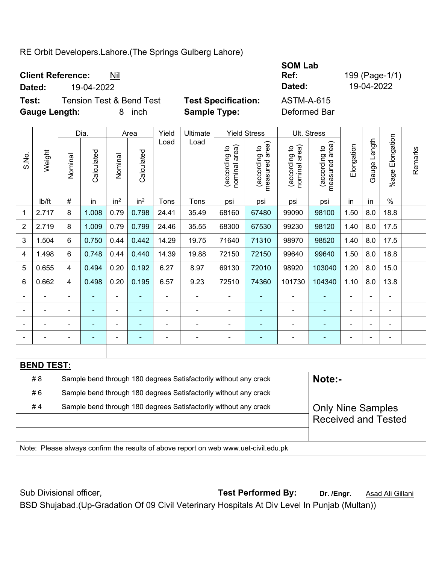## RE Orbit Developers.Lahore.(The Springs Gulberg Lahore)

**Client Reference:** Nil **SOM Lab Ref:** 199 (Page-1/1) **Dated:** 19-04-2022 **Dated:** 19-04-2022 **Test:** Tension Test & Bend Test **Test Specification:** ASTM-A-615 **Gauge Length:** 8 inch **Sample Type:** Deformed Bar

|                |                   |                                                                                              | Dia.       |                 | Area            | Yield          | Ultimate                                                                            |                                | <b>Yield Stress</b>             | Ult. Stress                    |                                 |            |              |                           |         |
|----------------|-------------------|----------------------------------------------------------------------------------------------|------------|-----------------|-----------------|----------------|-------------------------------------------------------------------------------------|--------------------------------|---------------------------------|--------------------------------|---------------------------------|------------|--------------|---------------------------|---------|
| S.No.          | Weight            | Nominal                                                                                      | Calculated | Nominal         | Calculated      | Load           | Load                                                                                | (according to<br>nominal area) | (according to<br>measured area) | (according to<br>nominal area) | (according to<br>measured area) | Elongation | Gauge Length | Elongation<br>$%$ age $ $ | Remarks |
|                | lb/ft             | $\#$                                                                                         | in         | in <sup>2</sup> | in <sup>2</sup> | Tons           | Tons                                                                                | psi                            | psi                             | psi                            | psi                             | in         | in           | $\frac{0}{0}$             |         |
| 1              | 2.717             | 8                                                                                            | 1.008      | 0.79            | 0.798           | 24.41          | 35.49                                                                               | 68160                          | 67480                           | 99090                          | 98100                           | 1.50       | 8.0          | 18.8                      |         |
| $\overline{2}$ | 2.719             | 8                                                                                            | 1.009      | 0.79            | 0.799           | 24.46          | 35.55                                                                               | 68300                          | 67530                           | 99230                          | 98120                           | 1.40       | 8.0          | 17.5                      |         |
| 3              | 1.504             | 6                                                                                            | 0.750      | 0.44            | 0.442           | 14.29          | 19.75                                                                               | 71640                          | 71310                           | 98970                          | 98520                           | 1.40       | 8.0          | 17.5                      |         |
| 4              | 1.498             | 6                                                                                            | 0.748      | 0.44            | 0.440           | 14.39          | 19.88                                                                               | 72150                          | 72150                           | 99640                          | 99640                           | 1.50       | 8.0          | 18.8                      |         |
| 5              | 0.655             | 4                                                                                            | 0.494      | 0.20            | 0.192           | 6.27           | 8.97                                                                                | 69130                          | 72010                           | 98920                          | 103040                          | 1.20       | 8.0          | 15.0                      |         |
| 6              | 0.662             | 4                                                                                            | 0.498      | 0.20            | 0.195           | 6.57           | 9.23                                                                                | 72510                          | 74360                           | 101730                         | 104340                          | 1.10       | 8.0          | 13.8                      |         |
|                |                   | $\blacksquare$                                                                               | ÷,         | $\blacksquare$  | $\blacksquare$  | $\blacksquare$ | ÷                                                                                   |                                | $\blacksquare$                  | $\blacksquare$                 | ÷                               |            |              | ä,                        |         |
|                |                   |                                                                                              |            |                 |                 |                |                                                                                     |                                |                                 |                                | ۰                               |            |              | $\blacksquare$            |         |
|                |                   |                                                                                              |            |                 |                 |                | -                                                                                   |                                |                                 | L,                             |                                 |            |              |                           |         |
|                |                   |                                                                                              | ä,         | $\blacksquare$  | ۰               |                | ÷                                                                                   | Ē,                             | $\overline{a}$                  | -                              | ۰                               |            |              | ÷,                        |         |
|                |                   |                                                                                              |            |                 |                 |                |                                                                                     |                                |                                 |                                |                                 |            |              |                           |         |
|                | <b>BEND TEST:</b> |                                                                                              |            |                 |                 |                |                                                                                     |                                |                                 |                                |                                 |            |              |                           |         |
|                | # 8               |                                                                                              |            |                 |                 |                | Sample bend through 180 degrees Satisfactorily without any crack                    |                                |                                 |                                | Note:-                          |            |              |                           |         |
|                | #6                |                                                                                              |            |                 |                 |                | Sample bend through 180 degrees Satisfactorily without any crack                    |                                |                                 |                                |                                 |            |              |                           |         |
|                | #4                | Sample bend through 180 degrees Satisfactorily without any crack<br><b>Only Nine Samples</b> |            |                 |                 |                |                                                                                     |                                |                                 |                                |                                 |            |              |                           |         |
|                |                   |                                                                                              |            |                 |                 |                |                                                                                     |                                |                                 |                                | <b>Received and Tested</b>      |            |              |                           |         |
|                |                   |                                                                                              |            |                 |                 |                |                                                                                     |                                |                                 |                                |                                 |            |              |                           |         |
|                |                   |                                                                                              |            |                 |                 |                | Note: Please always confirm the results of above report on web www.uet-civil.edu.pk |                                |                                 |                                |                                 |            |              |                           |         |

Sub Divisional officer, **Test Performed By:** Dr. /Engr. **Asad Ali Gillani** Associated By: Dr. /Engr. **Asad Ali Gillani** BSD Shujabad.(Up-Gradation Of 09 Civil Veterinary Hospitals At Div Level In Punjab (Multan))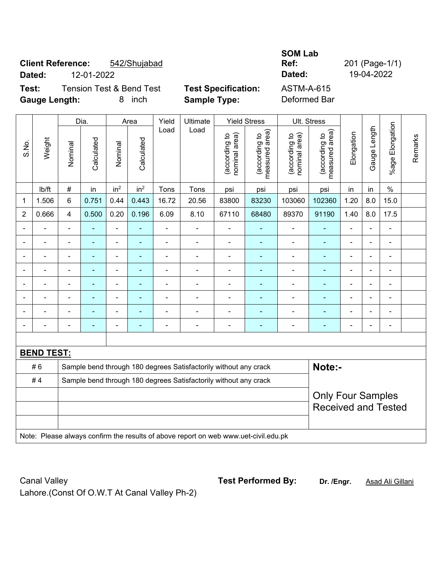# **Client Reference:** 542/Shujabad **Dated:** 12-01-2022 **Dated:** 19-04-2022

## **Test:** Tension Test & Bend Test **Test Specification:** ASTM-A-615 **Gauge Length:** 8 inch **Sample Type:** Deformed Bar

**SOM Lab** 

**Ref:** 201 (Page-1/1)

|                |                   |                                                                            | Dia.                     |                 | Area            | Yield          | <b>Yield Stress</b>                                                                 | Ult. Stress                    |                                 |                                |                                                        |                |                |                       |         |
|----------------|-------------------|----------------------------------------------------------------------------|--------------------------|-----------------|-----------------|----------------|-------------------------------------------------------------------------------------|--------------------------------|---------------------------------|--------------------------------|--------------------------------------------------------|----------------|----------------|-----------------------|---------|
| S.No.          | Weight            | Nominal                                                                    | Calculated               | Nominal         | Calculated      | Load           | Load                                                                                | nominal area)<br>(according to | measured area)<br>(according to | (according to<br>nominal area) | area)<br>(according to<br>measured                     | Elongation     | Gauge Length   | Elongation<br>$%$ age | Remarks |
|                | lb/ft             | #                                                                          | in                       | in <sup>2</sup> | in <sup>2</sup> | Tons           | Tons                                                                                | psi                            | psi                             | psi                            | psi                                                    | in             | in             | $\%$                  |         |
| 1              | 1.506             | 6                                                                          | 0.751                    | 0.44            | 0.443           | 16.72          | 20.56                                                                               | 83800                          | 83230                           | 103060                         | 102360                                                 | 1.20           | 8.0            | 15.0                  |         |
| $\overline{2}$ | 0.666             | 4                                                                          | 0.500                    | 0.20            | 0.196           | 6.09           | 8.10                                                                                | 67110                          | 68480                           | 89370                          | 91190                                                  | 1.40           | 8.0            | 17.5                  |         |
|                |                   | $\blacksquare$                                                             |                          |                 |                 | $\blacksquare$ | $\blacksquare$                                                                      | ä,                             |                                 |                                |                                                        |                | L.             |                       |         |
|                | $\blacksquare$    | $\blacksquare$                                                             | $\overline{\phantom{0}}$ | ÷,              |                 | $\blacksquare$ |                                                                                     | $\blacksquare$                 | ٠                               | $\blacksquare$                 |                                                        | $\blacksquare$ | $\blacksquare$ | $\blacksquare$        |         |
| $\blacksquare$ | ۰                 | $\blacksquare$                                                             | $\blacksquare$           | ÷               | ٠               | $\blacksquare$ | $\blacksquare$                                                                      | ä,                             | ۰                               | $\blacksquare$                 | $\overline{a}$                                         | $\blacksquare$ | $\overline{a}$ | $\blacksquare$        |         |
|                | $\blacksquare$    | L.                                                                         | $\blacksquare$           | $\blacksquare$  | $\blacksquare$  | $\blacksquare$ | $\blacksquare$                                                                      | $\blacksquare$                 | ٠                               | $\blacksquare$                 | ٠                                                      | $\overline{a}$ | ÷.             | ÷                     |         |
| $\blacksquare$ | $\blacksquare$    | ÷,                                                                         | $\blacksquare$           | $\blacksquare$  | ٠               | $\blacksquare$ | $\blacksquare$                                                                      | ä,                             | ۰                               | $\blacksquare$                 | ÷                                                      | $\blacksquare$ | ÷.             | ÷                     |         |
|                | $\blacksquare$    |                                                                            |                          | $\blacksquare$  |                 | $\blacksquare$ |                                                                                     | Ē,                             | ä,                              | Ē,                             |                                                        |                |                | $\blacksquare$        |         |
|                |                   |                                                                            |                          |                 |                 |                |                                                                                     | L,                             | ä,                              |                                |                                                        |                |                | $\blacksquare$        |         |
| $\blacksquare$ |                   | $\blacksquare$                                                             | ۰                        | $\blacksquare$  | ä,              | $\overline{a}$ | $\blacksquare$                                                                      | $\blacksquare$                 | ۰                               | $\blacksquare$                 | $\overline{a}$                                         | $\blacksquare$ | $\blacksquare$ | $\blacksquare$        |         |
|                |                   |                                                                            |                          |                 |                 |                |                                                                                     |                                |                                 |                                |                                                        |                |                |                       |         |
|                | <b>BEND TEST:</b> |                                                                            |                          |                 |                 |                |                                                                                     |                                |                                 |                                |                                                        |                |                |                       |         |
|                | #6                | Note:-<br>Sample bend through 180 degrees Satisfactorily without any crack |                          |                 |                 |                |                                                                                     |                                |                                 |                                |                                                        |                |                |                       |         |
|                | #4                |                                                                            |                          |                 |                 |                | Sample bend through 180 degrees Satisfactorily without any crack                    |                                |                                 |                                |                                                        |                |                |                       |         |
|                |                   |                                                                            |                          |                 |                 |                |                                                                                     |                                |                                 |                                | <b>Only Four Samples</b><br><b>Received and Tested</b> |                |                |                       |         |
|                |                   |                                                                            |                          |                 |                 |                | Note: Please always confirm the results of above report on web www.uet-civil.edu.pk |                                |                                 |                                |                                                        |                |                |                       |         |

Canal Valley **Test Performed By:** Dr. /Engr. **Asad Ali Gillani** Canal Valley Lahore.(Const Of O.W.T At Canal Valley Ph-2)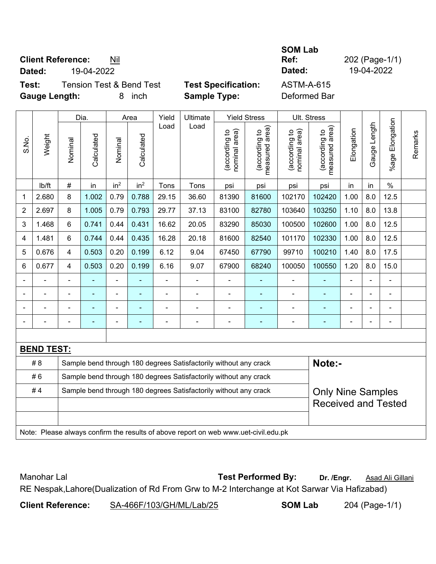## **Client Reference:** Nil

**Dated:** 19-04-2022 **Dated:** 19-04-2022

 $\overline{\phantom{a}}$ 

**SOM Lab** 

**Ref:** 202 (Page-1/1)

**Test:** Tension Test & Bend Test **Test Specification:** ASTM-A-615 **Gauge Length:** 8 inch **Sample Type:** Deformed Bar

|                |                                                                                     |                | Dia.       |                 | Area            | Yield          | Ultimate                                                         |                                | <b>Yield Stress</b>             |                                | Ult. Stress                                 |                |                |                              |         |
|----------------|-------------------------------------------------------------------------------------|----------------|------------|-----------------|-----------------|----------------|------------------------------------------------------------------|--------------------------------|---------------------------------|--------------------------------|---------------------------------------------|----------------|----------------|------------------------------|---------|
| S.No.          | Weight                                                                              | Nominal        | Calculated | Nominal         | Calculated      | Load           | Load                                                             | nominal area)<br>(according to | (according to<br>measured area) | (according to<br>nominal area) | (according to<br>measured area)<br>measured | Elongation     | Gauge Length   | Elongation<br>$%$ age        | Remarks |
|                | lb/ft                                                                               | #              | in         | in <sup>2</sup> | in <sup>2</sup> | Tons           | Tons                                                             | psi                            | psi                             | psi                            | psi                                         | in             | in             | $\%$                         |         |
| 1              | 2.680                                                                               | 8              | 1.002      | 0.79            | 0.788           | 29.15          | 36.60                                                            | 81390                          | 81600                           | 102170                         | 102420                                      | 1.00           | 8.0            | 12.5                         |         |
| $\overline{2}$ | 2.697                                                                               | 8              | 1.005      | 0.79            | 0.793           | 29.77          | 37.13                                                            | 83100                          | 82780                           | 103640                         | 103250                                      | 1.10           | 8.0            | 13.8                         |         |
| 3              | 1.468                                                                               | 6              | 0.741      | 0.44            | 0.431           | 16.62          | 20.05                                                            | 83290                          | 85030                           | 100500                         | 102600                                      | 1.00           | 8.0            | 12.5                         |         |
| 4              | 1.481                                                                               | 6              | 0.744      | 0.44            | 0.435           | 16.28          | 20.18                                                            | 81600                          | 82540                           | 101170                         | 102330                                      | 1.00           | 8.0            | 12.5                         |         |
| 5              | 0.676                                                                               | 4              | 0.503      | 0.20            | 0.199           | 6.12           | 9.04                                                             | 67450                          | 67790                           | 99710                          | 100210                                      | 1.40           | 8.0            | 17.5                         |         |
| 6              | 0.677                                                                               | 4              | 0.503      | 0.20            | 0.199           | 6.16           | 9.07                                                             | 67900                          | 68240                           | 100050                         | 100550                                      | 1.20           | 8.0            | 15.0                         |         |
|                |                                                                                     | $\blacksquare$ |            | $\blacksquare$  |                 | $\blacksquare$ | ä,                                                               | $\blacksquare$                 |                                 | $\blacksquare$                 | ÷                                           |                |                | ÷,                           |         |
|                |                                                                                     |                | ä,         | $\blacksquare$  |                 | ÷,             | ä,                                                               | ÷,                             |                                 | $\blacksquare$                 | ä,                                          | ä,             |                | $\blacksquare$               |         |
|                |                                                                                     |                |            |                 |                 |                |                                                                  |                                |                                 |                                |                                             |                |                | $\blacksquare$               |         |
|                |                                                                                     | $\blacksquare$ |            | $\blacksquare$  | ۰               |                | $\blacksquare$                                                   | $\blacksquare$                 | $\blacksquare$                  | $\blacksquare$                 | ۰                                           | $\blacksquare$ | $\blacksquare$ | $\qquad \qquad \blacksquare$ |         |
|                |                                                                                     |                |            |                 |                 |                |                                                                  |                                |                                 |                                |                                             |                |                |                              |         |
|                | <b>BEND TEST:</b>                                                                   |                |            |                 |                 |                |                                                                  |                                |                                 |                                |                                             |                |                |                              |         |
|                | # 8                                                                                 |                |            |                 |                 |                | Sample bend through 180 degrees Satisfactorily without any crack |                                |                                 |                                | Note:-                                      |                |                |                              |         |
|                | #6                                                                                  |                |            |                 |                 |                | Sample bend through 180 degrees Satisfactorily without any crack |                                |                                 |                                |                                             |                |                |                              |         |
|                | #4                                                                                  |                |            |                 |                 |                | Sample bend through 180 degrees Satisfactorily without any crack |                                |                                 |                                | <b>Only Nine Samples</b>                    |                |                |                              |         |
|                |                                                                                     |                |            |                 |                 |                |                                                                  |                                |                                 |                                | <b>Received and Tested</b>                  |                |                |                              |         |
|                |                                                                                     |                |            |                 |                 |                |                                                                  |                                |                                 |                                |                                             |                |                |                              |         |
|                | Note: Please always confirm the results of above report on web www.uet-civil.edu.pk |                |            |                 |                 |                |                                                                  |                                |                                 |                                |                                             |                |                |                              |         |

Manohar Lal **Manohar Lal** *Test Performed By:* **Dr. /Engr.** Asad Ali Gillani RE Nespak,Lahore(Dualization of Rd From Grw to M-2 Interchange at Kot Sarwar Via Hafizabad)

**Client Reference:** SA-466F/103/GH/ML/Lab/25 **SOM Lab** 204 (Page-1/1)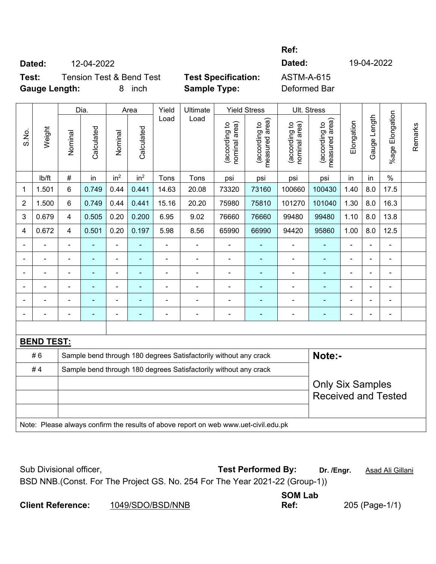## **Ref:**

**Dated:** 12-04-2022<br> **Test:** Tension Test & Bend Test **Test Specification:** ASTM-A-615<br> **Gauge Length:** 8 inch **Sample Type:** Referred Repeated **Test:** Tension Test & Bend Test **Test Specification:** ASTM-A-615 **Gauge Length:** 8 inch **Sample Type:** Deformed Bar

|                |                   |                | Dia.       |                 | Area            | Yield | Ultimate                                                                            |                                | <b>Yield Stress</b>             | Ult. Stress                    |                                 |            |              |                        |         |
|----------------|-------------------|----------------|------------|-----------------|-----------------|-------|-------------------------------------------------------------------------------------|--------------------------------|---------------------------------|--------------------------------|---------------------------------|------------|--------------|------------------------|---------|
| S.No.          | Weight            | Nominal        | Calculated | Nominal         | Calculated      | Load  | Load                                                                                | nominal area)<br>(according to | (according to<br>measured area) | nominal area)<br>(according to | (according to<br>measured area) | Elongation | Gauge Length | <b>%age Elongation</b> | Remarks |
|                | lb/ft             | $\#$           | in         | in <sup>2</sup> | in <sup>2</sup> | Tons  | Tons                                                                                | psi                            | psi                             | psi                            | psi                             | in         | in           | $\%$                   |         |
| $\mathbf 1$    | 1.501             | 6              | 0.749      | 0.44            | 0.441           | 14.63 | 20.08                                                                               | 73320                          | 73160                           | 100660                         | 100430                          | 1.40       | 8.0          | 17.5                   |         |
| $\overline{2}$ | 1.500             | $6\phantom{1}$ | 0.749      | 0.44            | 0.441           | 15.16 | 20.20                                                                               | 75980                          | 75810                           | 101270                         | 101040                          | 1.30       | 8.0          | 16.3                   |         |
| 3              | 0.679             | $\overline{4}$ | 0.505      | 0.20            | 0.200           | 6.95  | 9.02                                                                                | 76660                          | 76660                           | 99480                          | 99480                           | 1.10       | 8.0          | 13.8                   |         |
| 4              | 0.672             | $\overline{4}$ | 0.501      | 0.20            | 0.197           | 5.98  | 8.56                                                                                | 65990                          | 66990                           | 94420                          | 95860                           | 1.00       | 8.0          | 12.5                   |         |
| ä,             |                   | ä,             | ä,         | $\blacksquare$  | ÷               | ÷,    | $\frac{1}{2}$                                                                       | $\blacksquare$                 | ٠                               | $\blacksquare$                 | ÷,                              | ä,         | ÷,           | ÷,                     |         |
|                |                   | $\blacksquare$ | L,         | $\frac{1}{2}$   | ÷               | L,    | $\overline{\phantom{a}}$                                                            | $\blacksquare$                 | ÷,                              | $\blacksquare$                 | ä,                              |            |              | ä,                     |         |
|                |                   | $\blacksquare$ |            | $\blacksquare$  |                 |       |                                                                                     | $\blacksquare$                 |                                 | L,                             |                                 |            |              | $\blacksquare$         |         |
|                |                   |                |            | ۳               |                 |       |                                                                                     | $\blacksquare$                 |                                 |                                | $\blacksquare$                  |            |              | $\blacksquare$         |         |
|                |                   | $\blacksquare$ |            | ۳               |                 |       |                                                                                     |                                |                                 |                                |                                 |            |              | $\blacksquare$         |         |
|                |                   | ۰              |            | -               | ۰               |       | $\blacksquare$                                                                      | $\qquad \qquad \blacksquare$   | $\overline{\phantom{0}}$        | -                              | $\overline{a}$                  | -          |              | $\blacksquare$         |         |
|                |                   |                |            |                 |                 |       |                                                                                     |                                |                                 |                                |                                 |            |              |                        |         |
|                | <b>BEND TEST:</b> |                |            |                 |                 |       |                                                                                     |                                |                                 |                                |                                 |            |              |                        |         |
|                | #6                |                |            |                 |                 |       | Sample bend through 180 degrees Satisfactorily without any crack                    |                                |                                 |                                | Note:-                          |            |              |                        |         |
|                | #4                |                |            |                 |                 |       | Sample bend through 180 degrees Satisfactorily without any crack                    |                                |                                 |                                |                                 |            |              |                        |         |
|                |                   |                |            |                 |                 |       |                                                                                     |                                |                                 |                                | <b>Only Six Samples</b>         |            |              |                        |         |
|                |                   |                |            |                 |                 |       |                                                                                     |                                |                                 |                                | <b>Received and Tested</b>      |            |              |                        |         |
|                |                   |                |            |                 |                 |       |                                                                                     |                                |                                 |                                |                                 |            |              |                        |         |
|                |                   |                |            |                 |                 |       | Note: Please always confirm the results of above report on web www.uet-civil.edu.pk |                                |                                 |                                |                                 |            |              |                        |         |

| Sub Divisional officer,                                                      | <b>Test Performed By:</b> | Dr. /Engr. | <u>Asad Ali Gillani</u> |
|------------------------------------------------------------------------------|---------------------------|------------|-------------------------|
| BSD NNB. (Const. For The Project GS. No. 254 For The Year 2021-22 (Group-1)) |                           |            |                         |
|                                                                              | OML <sub>ab</sub>         |            |                         |

|                          |                  | <b>SUMLAD</b> |                |
|--------------------------|------------------|---------------|----------------|
| <b>Client Reference:</b> | 1049/SDO/BSD/NNB | Ref:          | 205 (Page-1/1) |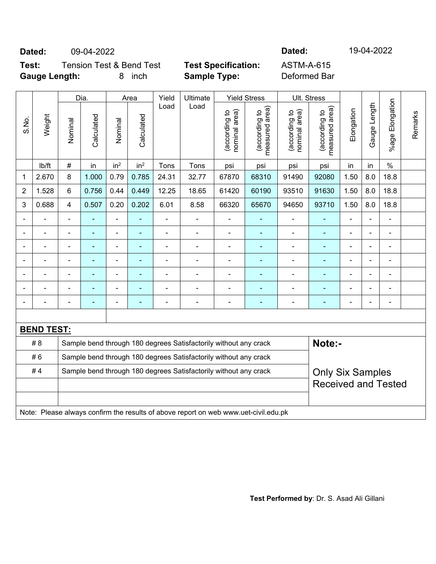## **Dated:** 09-04-2022 **Dated:** 19-04-2022

## **Test:** Tension Test & Bend Test **Test Specification:** ASTM-A-615 **Gauge Length:** 8 inch **Sample Type:** Deformed Bar

|                          |                   |                | Dia.<br>Area<br>Yield<br>Ultimate<br><b>Yield Stress</b> |                 |                 | Ult. Stress    |                                                                                     |                                |                                |                                |                                             |                |                |                          |         |
|--------------------------|-------------------|----------------|----------------------------------------------------------|-----------------|-----------------|----------------|-------------------------------------------------------------------------------------|--------------------------------|--------------------------------|--------------------------------|---------------------------------------------|----------------|----------------|--------------------------|---------|
| S.No.                    | Weight            | Nominal        | Calculated                                               | Nominal         | Calculated      | Load           | Load                                                                                | nominal area)<br>(according to | measured area<br>(according to | nominal area)<br>(according to | (according to<br>measured area)<br>measured | Elongation     | Gauge Length   | Elongation<br>$%$ age    | Remarks |
|                          | Ib/ft             | $\#$           | in                                                       | in <sup>2</sup> | in <sup>2</sup> | Tons           | Tons                                                                                | psi                            | psi                            | psi                            | psi                                         | in             | in             | $\%$                     |         |
| 1                        | 2.670             | 8              | 1.000                                                    | 0.79            | 0.785           | 24.31          | 32.77                                                                               | 67870                          | 68310                          | 91490                          | 92080                                       | 1.50           | 8.0            | 18.8                     |         |
| 2                        | 1.528             | 6              | 0.756                                                    | 0.44            | 0.449           | 12.25          | 18.65                                                                               | 61420                          | 60190                          | 93510                          | 91630                                       | 1.50           | 8.0            | 18.8                     |         |
| 3                        | 0.688             | 4              | 0.507                                                    | 0.20            | 0.202           | 6.01           | 8.58                                                                                | 66320                          | 65670                          | 94650                          | 93710                                       | 1.50           | 8.0            | 18.8                     |         |
|                          |                   |                |                                                          | $\blacksquare$  |                 |                | $\blacksquare$                                                                      | $\overline{a}$                 |                                |                                |                                             |                |                |                          |         |
|                          |                   |                |                                                          | $\blacksquare$  |                 | $\blacksquare$ | $\blacksquare$                                                                      | $\blacksquare$                 | $\blacksquare$                 | $\blacksquare$                 | $\blacksquare$                              |                |                | $\overline{\phantom{a}}$ |         |
| $\overline{\phantom{a}}$ |                   | $\blacksquare$ | ä,                                                       | $\blacksquare$  | $\blacksquare$  | ä,             | $\blacksquare$                                                                      | ä,                             | $\blacksquare$                 | $\blacksquare$                 | $\blacksquare$                              | $\blacksquare$ | $\blacksquare$ | ÷,                       |         |
| $\blacksquare$           |                   | $\blacksquare$ | ä,                                                       | $\blacksquare$  | $\blacksquare$  | ä,             | $\blacksquare$                                                                      | ä,                             | $\blacksquare$                 | $\blacksquare$                 | $\blacksquare$                              | $\blacksquare$ |                | $\blacksquare$           |         |
|                          |                   |                |                                                          | ä,              |                 |                |                                                                                     | $\blacksquare$                 |                                | $\blacksquare$                 |                                             |                |                | ÷                        |         |
|                          |                   |                |                                                          |                 |                 |                |                                                                                     | $\blacksquare$                 |                                |                                |                                             |                |                | $\blacksquare$           |         |
|                          |                   |                |                                                          | $\blacksquare$  |                 | ä,             | $\blacksquare$                                                                      | $\blacksquare$                 | ٠                              | $\blacksquare$                 | ä,                                          | $\blacksquare$ |                | $\blacksquare$           |         |
|                          |                   |                |                                                          |                 |                 |                |                                                                                     |                                |                                |                                |                                             |                |                |                          |         |
|                          | <b>BEND TEST:</b> |                |                                                          |                 |                 |                |                                                                                     |                                |                                |                                |                                             |                |                |                          |         |
|                          | # 8               |                |                                                          |                 |                 |                | Sample bend through 180 degrees Satisfactorily without any crack                    |                                |                                |                                | Note:-                                      |                |                |                          |         |
|                          | #6                |                |                                                          |                 |                 |                | Sample bend through 180 degrees Satisfactorily without any crack                    |                                |                                |                                |                                             |                |                |                          |         |
|                          | #4                |                |                                                          |                 |                 |                | Sample bend through 180 degrees Satisfactorily without any crack                    |                                |                                |                                | <b>Only Six Samples</b>                     |                |                |                          |         |
|                          |                   |                |                                                          |                 |                 |                |                                                                                     |                                |                                |                                | <b>Received and Tested</b>                  |                |                |                          |         |
|                          |                   |                |                                                          |                 |                 |                |                                                                                     |                                |                                |                                |                                             |                |                |                          |         |
|                          |                   |                |                                                          |                 |                 |                | Note: Please always confirm the results of above report on web www.uet-civil.edu.pk |                                |                                |                                |                                             |                |                |                          |         |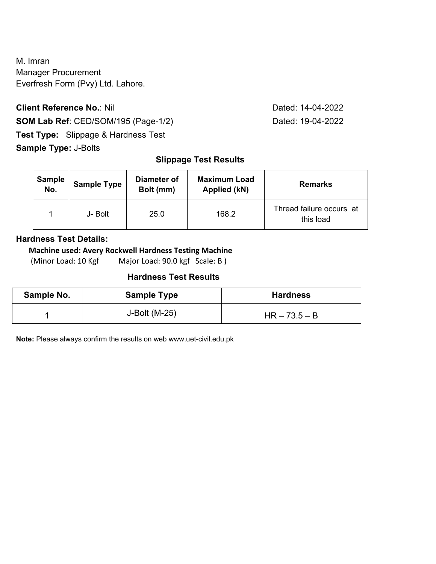M. Imran Manager Procurement Everfresh Form (Pvy) Ltd. Lahore.

**Client Reference No.: Nil Client Reference No.: Nil Dated: 14-04-2022 SOM Lab Ref**: CED/SOM/195 (Page-1/2) Dated: 19-04-2022 **Test Type:** Slippage & Hardness Test **Sample Type:** J-Bolts

## **Slippage Test Results**

| <b>Sample</b><br>No. | <b>Sample Type</b> | Diameter of<br>Bolt (mm) | <b>Maximum Load</b><br>Applied (kN) | <b>Remarks</b>                        |
|----------------------|--------------------|--------------------------|-------------------------------------|---------------------------------------|
|                      | J- Bolt            | 25.0                     | 168.2                               | Thread failure occurs at<br>this load |

## **Hardness Test Details:**

#### **Machine used: Avery Rockwell Hardness Testing Machine**

(Minor Load: 10 Kgf Major Load: 90.0 kgf Scale: B )

### **Hardness Test Results**

| Sample No. | <b>Sample Type</b> | <b>Hardness</b> |
|------------|--------------------|-----------------|
|            | J-Bolt (M-25)      | $HR - 73.5 - B$ |

**Note:** Please always confirm the results on web www.uet-civil.edu.pk